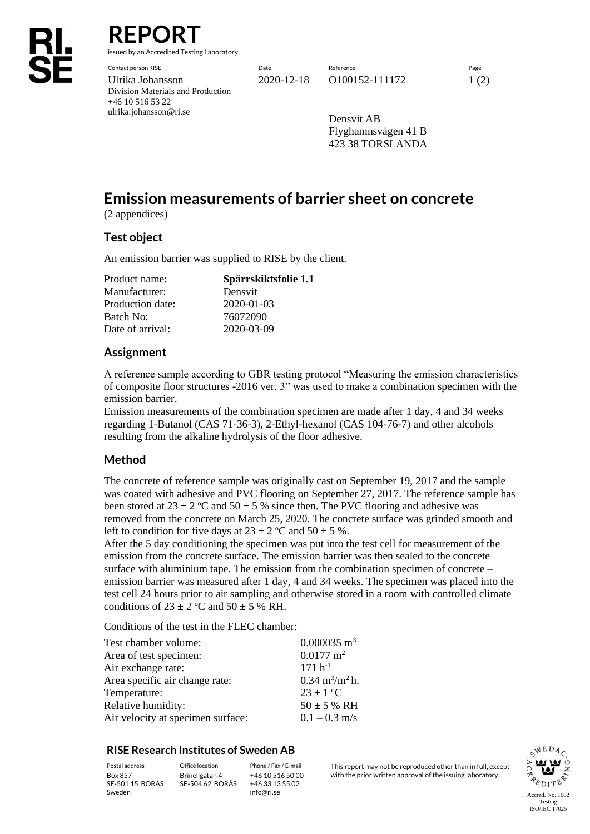# **REPORT**

issued by an Accredited Testing Laboratory

Contact person RISE Date Reference Page Ulrika Johansson 2020-12-18 0100152-111172 1 (2) Division Materials and Production +46 10 516 53 22 ulrika.johansson@ri.se

Densvit AB Flyghamnsvägen 41 B 423 38 TORSLANDA

## **Emission measurements of barrier sheet on concrete**

(2 appendices)

## **Test object**

An emission barrier was supplied to RISE by the client.

| Spärrskiktsfolie 1.1 |  |  |
|----------------------|--|--|
| Densvit              |  |  |
| $2020 - 01 - 03$     |  |  |
| 76072090             |  |  |
| 2020-03-09           |  |  |
|                      |  |  |

## **Assignment**

A reference sample according to GBR testing protocol "Measuring the emission characteristics of composite floor structures -2016 ver. 3" was used to make a combination specimen with the emission barrier.

Emission measurements of the combination specimen are made after 1 day, 4 and 34 weeks regarding 1-Butanol (CAS 71-36-3), 2-Ethyl-hexanol (CAS 104-76-7) and other alcohols resulting from the alkaline hydrolysis of the floor adhesive.

## **Method**

The concrete of reference sample was originally cast on September 19, 2017 and the sample was coated with adhesive and PVC flooring on September 27, 2017. The reference sample has been stored at  $23 \pm 2$  °C and  $50 \pm 5$  % since then. The PVC flooring and adhesive was removed from the concrete on March 25, 2020. The concrete surface was grinded smooth and left to condition for five days at  $23 \pm 2$  °C and  $50 \pm 5$  %.

After the 5 day conditioning the specimen was put into the test cell for measurement of the emission from the concrete surface. The emission barrier was then sealed to the concrete surface with aluminium tape. The emission from the combination specimen of concrete – emission barrier was measured after 1 day, 4 and 34 weeks. The specimen was placed into the test cell 24 hours prior to air sampling and otherwise stored in a room with controlled climate conditions of  $23 \pm 2$  °C and  $50 \pm 5$  % RH.

Conditions of the test in the FLEC chamber:

| Test chamber volume:              | $0.000035$ m <sup>3</sup>                |
|-----------------------------------|------------------------------------------|
| Area of test specimen:            | $0.0177 \text{ m}^2$                     |
| Air exchange rate:                | $171 h^{-1}$                             |
| Area specific air change rate:    | $0.34 \text{ m}^3/\text{m}^2 \text{h}$ . |
| Temperature:                      | $23 \pm 1$ °C                            |
| Relative humidity:                | $50 \pm 5$ % RH                          |
| Air velocity at specimen surface: | $0.1 - 0.3$ m/s                          |

## **RISE Research Institutes of Sweden AB**

SE-501 15 BORÅS Sweden

Brinellgatan 4 SE-504 62 BORÅS

+46 10 516 50 00 +46 33 13 55 02 info@ri.se

Postal address Office location Phone / Fax / E-mail This report may not be reproduced other than in full, except Box 857 Brinellgatan 4 +46 10 516 50 00 with the prior written approval of the issuing laboratory.

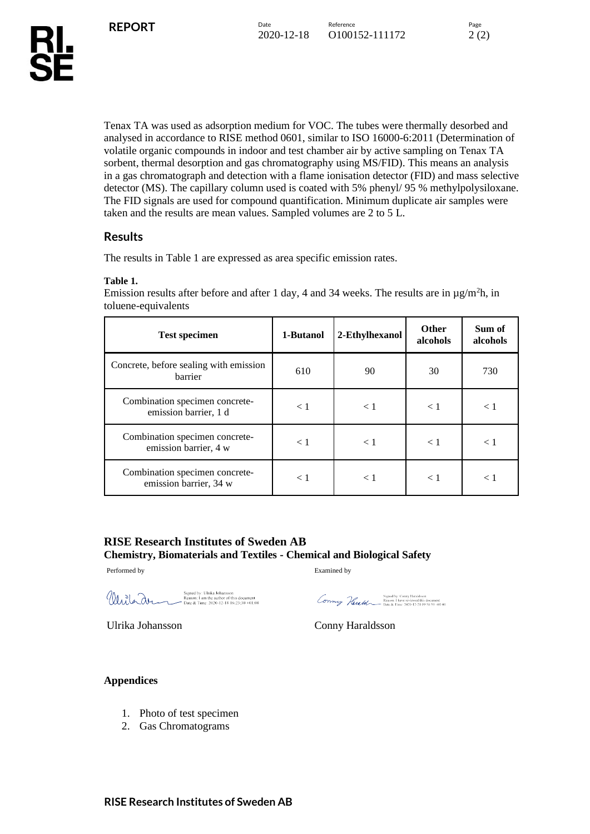Tenax TA was used as adsorption medium for VOC. The tubes were thermally desorbed and analysed in accordance to RISE method 0601, similar to ISO 16000-6:2011 (Determination of volatile organic compounds in indoor and test chamber air by active sampling on Tenax TA sorbent, thermal desorption and gas chromatography using MS/FID). This means an analysis in a gas chromatograph and detection with a flame ionisation detector (FID) and mass selective detector (MS). The capillary column used is coated with 5% phenyl/ 95 % methylpolysiloxane. The FID signals are used for compound quantification. Minimum duplicate air samples were taken and the results are mean values. Sampled volumes are 2 to 5 L.

## **Results**

The results in Table 1 are expressed as area specific emission rates.

## **Table 1.**

Emission results after before and after 1 day, 4 and 34 weeks. The results are in  $\mu$ g/m<sup>2</sup>h, in toluene-equivalents

| <b>Test specimen</b>                                     | 1-Butanol | 2-Ethylhexanol | <b>Other</b><br>alcohols | Sum of<br>alcohols |
|----------------------------------------------------------|-----------|----------------|--------------------------|--------------------|
| Concrete, before sealing with emission<br>barrier        | 610       | 90             | 30                       | 730                |
| Combination specimen concrete-<br>emission barrier, 1 d  | < 1       | < 1            | < 1                      | < 1                |
| Combination specimen concrete-<br>emission barrier, 4 w  | $\leq 1$  | $\leq 1$       | < 1                      | $\leq 1$           |
| Combination specimen concrete-<br>emission barrier, 34 w | < 1       | $\lt 1$        | $\lt 1$                  | < 1                |

## **RISE Research Institutes of Sweden AB Chemistry, Biomaterials and Textiles - Chemical and Biological Safety**

Performed by Examined by

Signed by: Ulrika Johansson<br>Reason: I am the author of this document<br>"Date & Time: 2020-12-18 16:23:30 +01:00 Wesleran

Signed by: Comry Haraidsson<br>Exeson: 1 have reviewed this document<br>Date & Time: 2020-12-21 09:58:59 +01:00

Ulrika Johansson Conny Haraldsson

### **Appendices**

- 1. Photo of test specimen
- 2. Gas Chromatograms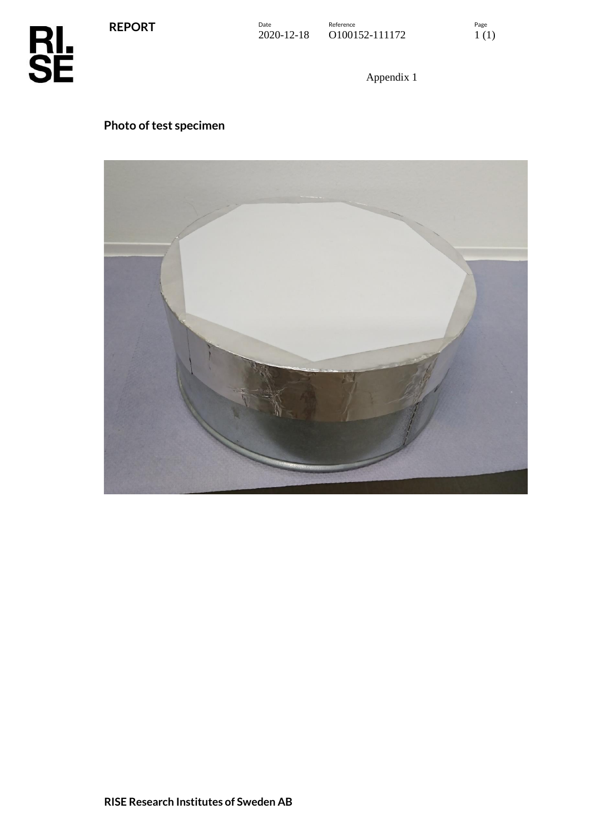**REPORT**



Appendix 1

## **Photo of test specimen**

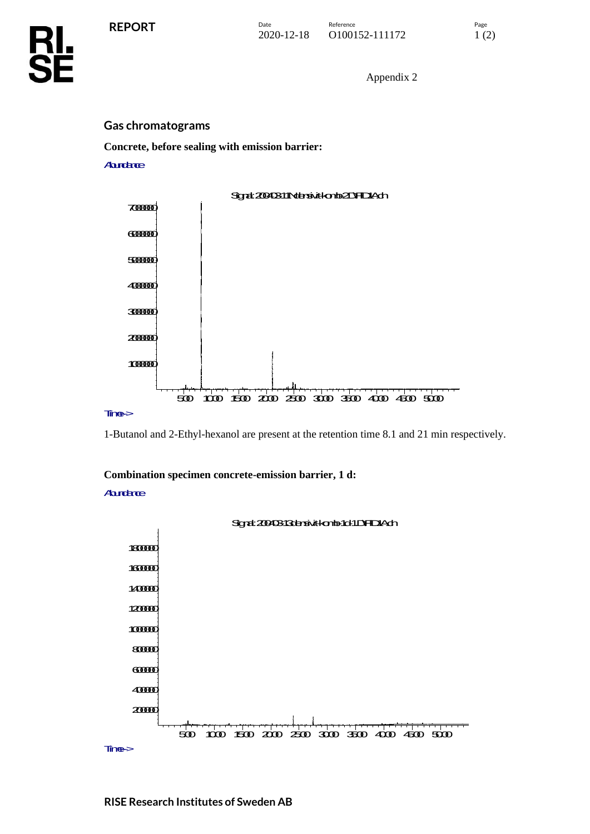Appendix 2

## **Gas chromatograms**

**Concrete, before sealing with emission barrier:**

## **Aurdaree**



1-Butanol and 2-Ethyl-hexanol are present at the retention time 8.1 and 21 min respectively.

## **Combination specimen concrete-emission barrier, 1 d:**

## **Aurdance**